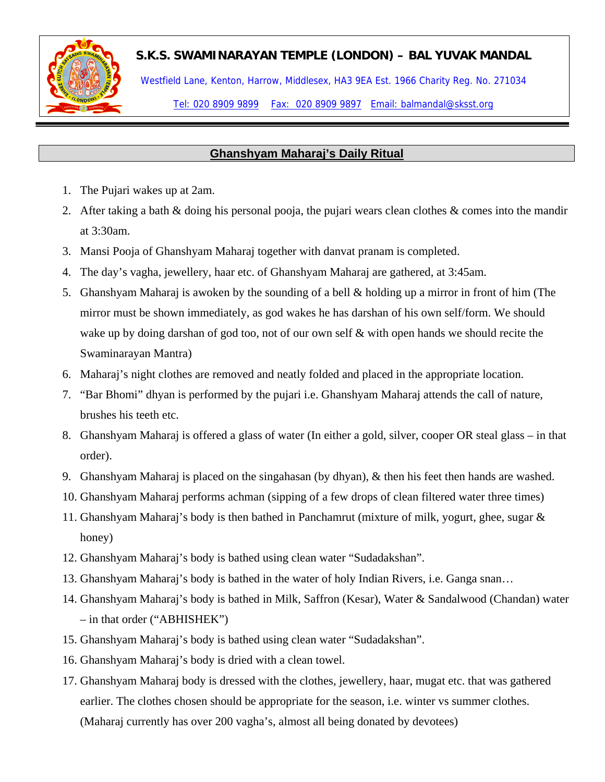

## **S.K.S. SWAMINARAYAN TEMPLE (LONDON) – BAL YUVAK MANDAL**

Westfield Lane, Kenton, Harrow, Middlesex, HA3 9EA Est. 1966 Charity Reg. No. 271034

Tel: 020 8909 9899 Fax: 020 8909 9897 Email: balmandal@sksst.org

## **Ghanshyam Maharaj's Daily Ritual**

- 1. The Pujari wakes up at 2am.
- 2. After taking a bath & doing his personal pooja, the pujari wears clean clothes & comes into the mandir at 3:30am.
- 3. Mansi Pooja of Ghanshyam Maharaj together with danvat pranam is completed.
- 4. The day's vagha, jewellery, haar etc. of Ghanshyam Maharaj are gathered, at 3:45am.
- 5. Ghanshyam Maharaj is awoken by the sounding of a bell & holding up a mirror in front of him (The mirror must be shown immediately, as god wakes he has darshan of his own self/form. We should wake up by doing darshan of god too, not of our own self & with open hands we should recite the Swaminarayan Mantra)
- 6. Maharaj's night clothes are removed and neatly folded and placed in the appropriate location.
- 7. "Bar Bhomi" dhyan is performed by the pujari i.e. Ghanshyam Maharaj attends the call of nature, brushes his teeth etc.
- 8. Ghanshyam Maharaj is offered a glass of water (In either a gold, silver, cooper OR steal glass in that order).
- 9. Ghanshyam Maharaj is placed on the singahasan (by dhyan), & then his feet then hands are washed.
- 10. Ghanshyam Maharaj performs achman (sipping of a few drops of clean filtered water three times)
- 11. Ghanshyam Maharaj's body is then bathed in Panchamrut (mixture of milk, yogurt, ghee, sugar & honey)
- 12. Ghanshyam Maharaj's body is bathed using clean water "Sudadakshan".
- 13. Ghanshyam Maharaj's body is bathed in the water of holy Indian Rivers, i.e. Ganga snan…
- 14. Ghanshyam Maharaj's body is bathed in Milk, Saffron (Kesar), Water & Sandalwood (Chandan) water – in that order ("ABHISHEK")
- 15. Ghanshyam Maharaj's body is bathed using clean water "Sudadakshan".
- 16. Ghanshyam Maharaj's body is dried with a clean towel.
- 17. Ghanshyam Maharaj body is dressed with the clothes, jewellery, haar, mugat etc. that was gathered earlier. The clothes chosen should be appropriate for the season, i.e. winter vs summer clothes. (Maharaj currently has over 200 vagha's, almost all being donated by devotees)